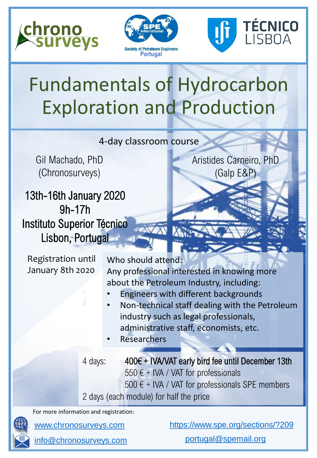





Aristides Carneiro, PhD

(Galp E&P)

## Fundamentals of Hydrocarbon Exploration and Production

4-day classroom course

Gil Machado, PhD (Chronosurveys)

13th-16th January 2020 9h-17h Instituto Superior Técnico Lisbon, Portugal

Registration until January 8th 2020

Who should attend: Any professional interested in knowing more about the Petroleum Industry, including:

- Engineers with different backgrounds
- Non-technical staff dealing with the Petroleum industry such as legal professionals, administrative staff, economists, etc.
- **Researchers**

4 days: 400€ + IVA/VAT early bird fee until December 13th 550  $\epsilon$  + IVA / VAT for professionals  $500 \text{ } \in$  + IVA / VAT for professionals SPE members 2 days (each module) for half the price

For more information and registration:

[info@chronosurveys.com](mailto:info@chronosurveys.com?subject=Biostratigraphy%20workshop)

[www.chronosurveys.com](http://www.chronosurveys.com/) <https://www.spe.org/sections/?209>

[portugal@spemail.org](mailto:portugal@spemail.org)